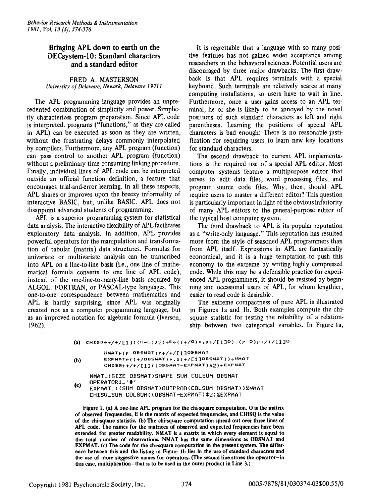## Bringing APL down to earth on the DECsystem-lO: Standard characters and a standard editor

## FRED A. MASTERSON *University ofDelaware, Newark, Delaware 19711*

The APL programming language provides an unprecedented combination of simplicity and power. Simplicity characterizes program preparation. Since APL code is interpreted, programs ("functions," as they are called in APL) can be executed as soon as they are written, without the frustrating delays commonly interpolated by compilers. Furthermore, any APL program (function) can pass control to another APL program (function) without a preliminary time-consuming linking procedure. Finally, individual lines of APL code can be interpreted outside an official function definition, a feature that encourages trial-and-error learning. In all these respects, APL shares or improves upon the breezy informality of interactive BASIC, but, unlike BASIC, APL does not disappoint advanced students of programming.

APL is a superior programming system for statistical data analysis. The interactive flexibility of APL facilitates exploratory data analysis. In addition, APL provides powerful operators for the manipulation and transformation of tabular (matrix) data structures. Formulas for univariate or multivariate analysis can be transcribed into APL on a line-to-line basis (i.e., one line of mathematical formula converts to one line of APL code), instead of the one-line-to-many-line basis required by ALGOL, FORTRAN, or PASCAL-type languages. This one-to-one correspondence between mathematics and APL is hardly surprising, since APL was originally created not as a computer programming language, but as an improved notation for algebraic formula (Iverson, 1962).

It is regrettable that a language with so many positive features has not gained wider acceptance among researchers in the behavioral sciences. Potential users are discouraged by three major drawbacks. The first drawback is that APL requires terminals with a special keyboard. Such terminals are relatively scarce at many computing installations, so users have to wait in line. Furthermore, once a user gains access to an APL terminal, he or she is likely to be annoyed by the novel positions of such standard characters as left and right parentheses. Learning the positions of special APL characters is bad enough: There is no reasonable justification for requiring users to learn new key locations for standard characters.

The second drawback to current APL implementations is the required use of a special APL editor. Most computer systems feature a multipurpose editor that serves to edit data files, word processing files, and program source code files. Why, then, should APL require users to master a different editor? This question is particularly important in light of the obvious inferiority of many APL editors to the general-purpose editor of the typical host computer system.

The third drawback to APL is its popular reputation as a "write-only language." This reputation has resulted more from the style of seasoned APL programmers than from APL itself. Expressions in APL are fantastically economical, and it is a huge temptation to push this economy to the extreme by writing highly compressed code. While this may be a defensible practice for experienced APL programmers, it should be resisted by beginning and occasional users of APL, for whom lengthier, easier to read code is desirable.

The extreme compactness of pure APL is illustrated in Figures la and lb. Both examples compute the chisquare statistic for testing the reliability of a relationship between two categorical variables. In Figure la,

 $(4)$  CHISQ++/+/[1]((0-E)x2)+E+((+/0)°,X+/[1]O)+(f 0)f+/+/[1]O

HMAT~(r OBSMATlr+/+/C1]OBSMAT

(b) EXPMAT+((+/OBSMAT)+,x(+/[1]OBSMAT))+NMAT CHISQ++/+/[1]((OBSMAT-EXPMAT)\*2)+EXPMAT

NMAT\_(SIZE OBSMATISHAPE SUM COLSUM OBSMAT OF'ERATORL *<sup>I</sup>* t *<sup>I</sup>*

(e) EXPMAT\_((SUM OBSMAT)OUTPROD(COLSUM OBSMAT))XNMAT CHISQ\_SUM COLSUM((OBSMAT-EXPMAT) \*2) XEXPMAT

Figure 1. (a) A one-line APL program for the chi-square computation. 0 is the matrix of observed frequencies, E is the matrix of expected frequencies, and CHISQ is the value of the chi-square statistic. (b) The chi-square computation spread out over three lines of APL code. The names for the matrices of observed and expected frequencies have been extended for greater readability. NMAT is a matrix in which every element is equal to the total number of observations. NMAT has the same dimensions as OBSMAT and EXPMAT. (c) The code for the chi-square computation in the present system. The difference between this and the listing in Figure 1b lies in the use of standard characters and the use of more suggestive names for operators. (The second line stores the operator-in this case, multiplication-that is to be used in the outer product in Line 3.)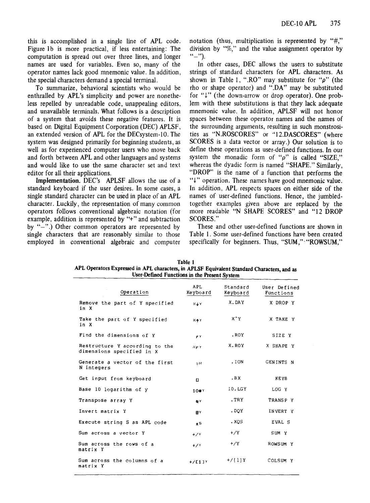this is accomplished in a single line of APL code. Figure 1b is more practical, if less entertaining: The computation is spread out over three lines, and longer names are used for variables. Even so, many of the operator names lack good mnemonic value. In addition, the special characters demand a special terminal.

To summarize, behavioral scientists who would be enthralled by APL's simplicity and power are nonetheless repelled by unreadable code, unappealing editors, and unavailable terminals. What follows is a description of a system that avoids these negative features. It is based on Digital Equipment Corporation (DEC) APLSF, an extended version of APL for the DECsystem-lO. The system was designed primarily for beginning students, as well as for experienced computer users who move back and forth between APL and other languages and systems and would like to use the same character set and text editor for all their applications.

Implementation. DEC's APLSF allows the use of a standard keyboard if the user desires. In some cases, a single standard character can be used in place of an APL character. Luckily, the representation of many common operators follows conventional algebraic notation (for example, addition is represented by "+" and subtraction by "-".) Other common operators are represented by single characters that are reasonably similar to those employed in conventional algebraic and computer

notation (thus, multiplication is represented by "#," division by "%," and the value assignment operator by  $"$ -").

In other cases, DEC allows the users to substitute strings of standard characters for APL characters. As shown in Table 1, ".RO" may substitute for *"p"* (the rho or shape operator) and ".DA" may be substituted for " $\downarrow$ " (the down-arrow or drop operator). One problem with these substitutions is that they lack adequate mnemonic value. In addition, APLSF will not honor spaces between these operator names and the names of the surrounding arguments, resulting in such monstrosities as "N.ROSCORES" or ·'12.DASCORES" (where SCORES is a data vector or array.) Our solution is to define these operations as user-defined functions. In our system the monadic form of  $\theta$ " is called "SIZE," whereas the dyadic form is named "SHAPE." Similarly, "DROP" is the name of a function that performs the  $\lq\lq\lq\lq$  operation. These names have good mnemonic value. In addition, APL respects spaces on either side of the names of user-defined functions. Hence, the jumbledtogether examples given above are replaced by the more readable "N SHAPE SCORES" and "12 DROP SCORES."

These and other user-defined functions are shown in Table 1. Some user-defined functions have been created specifically for beginners. Thus, "SUM," "ROWSUM,"

| User-Defined Functions in the Present System                |                  |                      |                           |
|-------------------------------------------------------------|------------------|----------------------|---------------------------|
| Operation                                                   | APL<br>Keyboard  | Standard<br>Keyboard | User Defined<br>Functions |
| Remove the part of Y specified<br>in X                      | $X \downarrow Y$ | X.DAY                | X DROP Y                  |
| Take the part of Y specified<br>in X                        | XAT              | X^Y                  | X TAKE Y                  |
| Find the dimensions of Y                                    | F                | .ROY                 | SIZE Y                    |
| Restructure Y according to the<br>dimensions specified in X | $N \in T$        | X.ROY                | X SHAPE Y                 |
| Generate a vector of the first<br>N integers                | ηN               | .ION                 | GENINTS N                 |
| Get input from keyboard                                     | $\Box$           | $-BX$                | KEYB                      |
| Base 10 logarithm of y                                      | 10e <sub>x</sub> | 10.LGY               | LOG Y                     |
| Transpose array Y                                           | ÖΥ               | .TRY                 | TRANSP Y                  |
| Invert matrix Y                                             | B۲               | .DQY                 | INVERT Y                  |
| Execute string S as APL code                                | $\mathbf{r}$ S   | .xos                 | EVAL S                    |
| Sum across a vector Y                                       | $+/T$            | $+/\Upsilon$         | SUM Y                     |
| Sum across the rows of a<br>matrix Y                        | $+/T$            | $+$ /Y               | ROWSUM Y                  |
| Sum across the columns of a<br>matrix Y                     | $+/L1JT$         | $+/11Y$              | COLSUM Y                  |

| Table 1                                                                                    |
|--------------------------------------------------------------------------------------------|
| APL Operators Expressed in APL characters, in APLSF Equivalent Standard Characters, and as |
| <b>Liser-Defined Eunctions in the Present System</b>                                       |